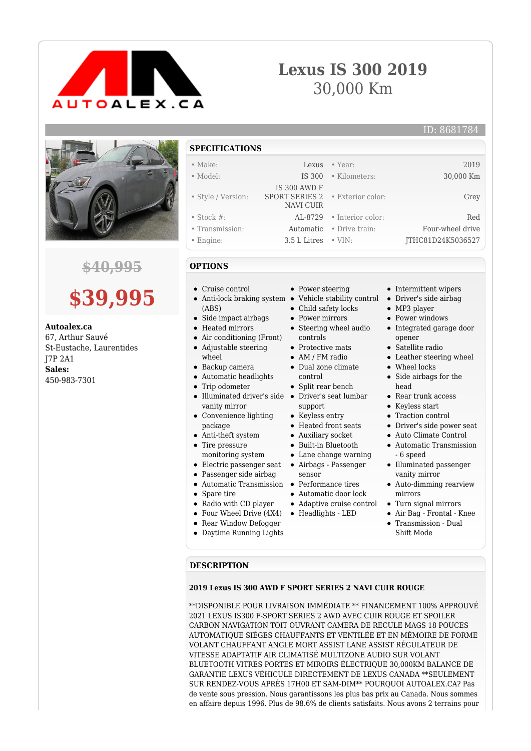

## **Lexus IS 300 2019** 30,000 Km



### **\$40,995**

# **\$39,995**

**Autoalex.ca**

67, Arthur Sauvé St-Eustache, Laurentides J7P 2A1 **Sales:** 450-983-7301

**SPECIFICATIONS**

| $\bullet$ Make:    |                                                                                    | Lexus • Year:            | 2019              |
|--------------------|------------------------------------------------------------------------------------|--------------------------|-------------------|
| • Model:           | IS 300                                                                             | • Kilometers:            | 30,000 Km         |
| • Style / Version: | <b>IS 300 AWD F</b><br><b>SPORT SERIES 2</b> . Exterior color:<br><b>NAVI CUIR</b> |                          | Grey              |
| $\bullet$ Stock #: | AL-8729                                                                            | • Interior color:        | Red               |
| • Transmission:    |                                                                                    | Automatic • Drive train: | Four-wheel drive  |
| $\bullet$ Engine:  | $3.5$ L Litres $\cdot$ VIN:                                                        |                          | ITHC81D24K5036527 |

#### **OPTIONS**

- Cruise control
- Anti-lock braking system Vehicle stability control (ABS)
- Side impact airbags
- Heated mirrors
- Air conditioning (Front)  $\bullet$ Adjustable steering
- wheel
- Backup camera
- Automatic headlights
- Trip odometer  $\bullet$
- $\bullet$ Illuminated driver's side Driver's seat lumbar vanity mirror
- Convenience lighting package
- Anti-theft system Tire pressure
- monitoring system
- Electric passenger seat Airbags Passenger
- Passenger side airbag
- Automatic Transmission Performance tires
- Spare tire
- Radio with CD player
- Four Wheel Drive (4X4) Headlights LED
- Rear Window Defogger
- Daytime Running Lights
- Power steering
- 
- Child safety locks
- Power mirrors
- Steering wheel audio controls
- Protective mats
- AM / FM radio
- Dual zone climate control
- Split rear bench
- support
- Keyless entry
- Heated front seats
- Auxiliary socket
- Built-in Bluetooth  $\bullet$
- Lane change warning
- 
- sensor
- 
- Automatic door lock
- Adaptive cruise control
- 
- Intermittent wipers
- Driver's side airbag
- MP3 player
- Power windows
- Integrated garage door opener
- Satellite radio
- Leather steering wheel
- Wheel locks
- Side airbags for the head
- Rear trunk access
- Keyless start
- Traction control
- Driver's side power seat
- Auto Climate Control
- Automatic Transmission - 6 speed
- Illuminated passenger vanity mirror
- Auto-dimming rearview mirrors
- Turn signal mirrors
- Air Bag Frontal Knee
- Transmission Dual Shift Mode

#### **DESCRIPTION**

#### **2019 Lexus IS 300 AWD F SPORT SERIES 2 NAVI CUIR ROUGE**

\*\*DISPONIBLE POUR LIVRAISON IMMÉDIATE \*\* FINANCEMENT 100% APPROUVÉ 2021 LEXUS IS300 F-SPORT SERIES 2 AWD AVEC CUIR ROUGE ET SPOILER CARBON NAVIGATION TOIT OUVRANT CAMERA DE RECULE MAGS 18 POUCES AUTOMATIQUE SIÈGES CHAUFFANTS ET VENTILÉE ET EN MÉMOIRE DE FORME VOLANT CHAUFFANT ANGLE MORT ASSIST LANE ASSIST RÉGULATEUR DE VITESSE ADAPTATIF AIR CLIMATISÉ MULTIZONE AUDIO SUR VOLANT BLUETOOTH VITRES PORTES ET MIROIRS ÉLECTRIQUE 30,000KM BALANCE DE GARANTIE LEXUS VÉHICULE DIRECTEMENT DE LEXUS CANADA \*\*SEULEMENT SUR RENDEZ-VOUS APRÈS 17H00 ET SAM-DIM\*\* POURQUOI AUTOALEX.CA? Pas de vente sous pression. Nous garantissons les plus bas prix au Canada. Nous sommes en affaire depuis 1996. Plus de 98.6% de clients satisfaits. Nous avons 2 terrains pour

- 
-